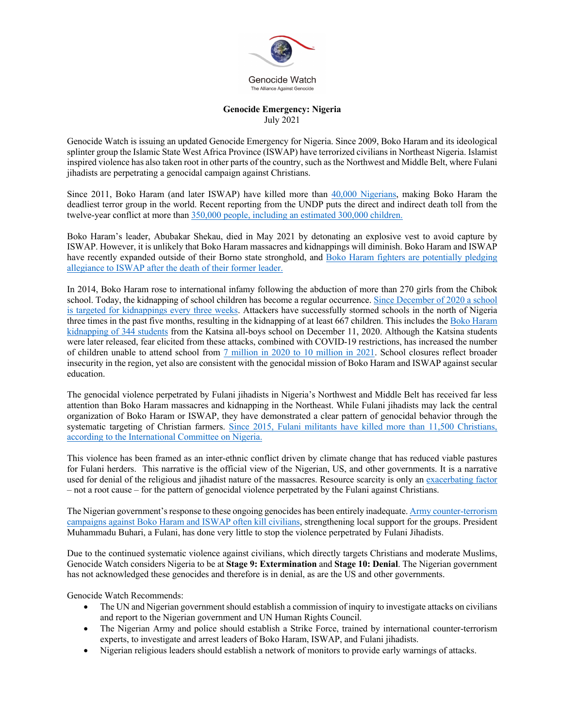

## **Genocide Emergency: Nigeria** July 2021

Genocide Watch is issuing an updated Genocide Emergency for Nigeria. Since 2009, Boko Haram and its ideological splinter group the Islamic State West Africa Province (ISWAP) have terrorized civilians in Northeast Nigeria. Islamist inspired violence has also taken root in other parts of the country, such as the Northwest and Middle Belt, where Fulani jihadists are perpetrating a genocidal campaign against Christians.

Since 2011, Boko Haram (and later ISWAP) have killed more than 40,000 Nigerians, making Boko Haram the deadliest terror group in the world. Recent reporting from the UNDP puts the direct and indirect death toll from the twelve-year conflict at more than 350,000 people, including an estimated 300,000 children.

Boko Haram's leader, Abubakar Shekau, died in May 2021 by detonating an explosive vest to avoid capture by ISWAP. However, it is unlikely that Boko Haram massacres and kidnappings will diminish. Boko Haram and ISWAP have recently expanded outside of their Borno state stronghold, and Boko Haram fighters are potentially pledging allegiance to ISWAP after the death of their former leader.

In 2014, Boko Haram rose to international infamy following the abduction of more than 270 girls from the Chibok school. Today, the kidnapping of school children has become a regular occurrence. Since December of 2020 a school is targeted for kidnappings every three weeks. Attackers have successfully stormed schools in the north of Nigeria three times in the past five months, resulting in the kidnapping of at least 667 children. This includes the Boko Haram kidnapping of 344 students from the Katsina all-boys school on December 11, 2020. Although the Katsina students were later released, fear elicited from these attacks, combined with COVID-19 restrictions, has increased the number of children unable to attend school from 7 million in 2020 to 10 million in 2021. School closures reflect broader insecurity in the region, yet also are consistent with the genocidal mission of Boko Haram and ISWAP against secular education.

The genocidal violence perpetrated by Fulani jihadists in Nigeria's Northwest and Middle Belt has received far less attention than Boko Haram massacres and kidnapping in the Northeast. While Fulani jihadists may lack the central organization of Boko Haram or ISWAP, they have demonstrated a clear pattern of genocidal behavior through the systematic targeting of Christian farmers. Since 2015, Fulani militants have killed more than 11,500 Christians, according to the International Committee on Nigeria.

This violence has been framed as an inter-ethnic conflict driven by climate change that has reduced viable pastures for Fulani herders. This narrative is the official view of the Nigerian, US, and other governments. It is a narrative used for denial of the religious and jihadist nature of the massacres. Resource scarcity is only an exacerbating factor – not a root cause – for the pattern of genocidal violence perpetrated by the Fulani against Christians.

The Nigerian government's response to these ongoing genocides has been entirely inadequate. Army counter-terrorism campaigns against Boko Haram and ISWAP often kill civilians, strengthening local support for the groups. President Muhammadu Buhari, a Fulani, has done very little to stop the violence perpetrated by Fulani Jihadists.

Due to the continued systematic violence against civilians, which directly targets Christians and moderate Muslims, Genocide Watch considers Nigeria to be at **Stage 9: Extermination** and **Stage 10: Denial**. The Nigerian government has not acknowledged these genocides and therefore is in denial, as are the US and other governments.

Genocide Watch Recommends:

- The UN and Nigerian government should establish a commission of inquiry to investigate attacks on civilians and report to the Nigerian government and UN Human Rights Council.
- The Nigerian Army and police should establish a Strike Force, trained by international counter-terrorism experts, to investigate and arrest leaders of Boko Haram, ISWAP, and Fulani jihadists.
- Nigerian religious leaders should establish a network of monitors to provide early warnings of attacks.